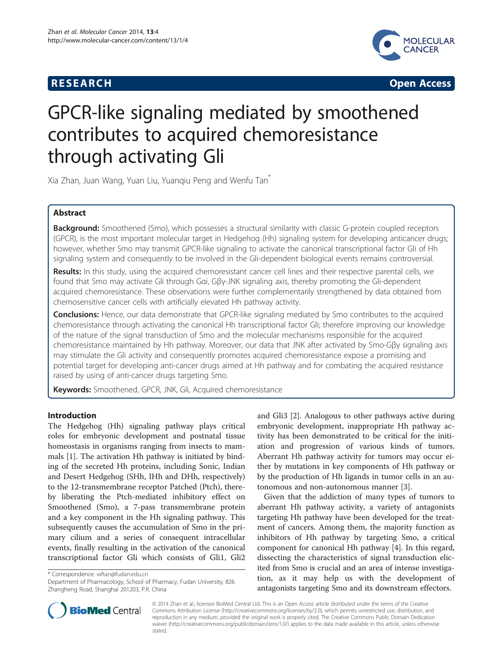## **RESEARCH RESEARCH CONSUMING ACCESS**



# GPCR-like signaling mediated by smoothened contributes to acquired chemoresistance through activating Gli

Xia Zhan, Juan Wang, Yuan Liu, Yuanqiu Peng and Wenfu Tan\*

## Abstract

Background: Smoothened (Smo), which possesses a structural similarity with classic G-protein coupled receptors (GPCR), is the most important molecular target in Hedgehog (Hh) signaling system for developing anticancer drugs; however, whether Smo may transmit GPCR-like signaling to activate the canonical transcriptional factor Gli of Hh signaling system and consequently to be involved in the Gli-dependent biological events remains controversial.

Results: In this study, using the acquired chemoresistant cancer cell lines and their respective parental cells, we found that Smo may activate Gli through Gαi, Gβγ-JNK signaling axis, thereby promoting the Gli-dependent acquired chemoresistance. These observations were further complementarily strengthened by data obtained from chemosensitive cancer cells with artificially elevated Hh pathway activity.

**Conclusions:** Hence, our data demonstrate that GPCR-like signaling mediated by Smo contributes to the acquired chemoresistance through activating the canonical Hh transcriptional factor Gli; therefore improving our knowledge of the nature of the signal transduction of Smo and the molecular mechanisms responsible for the acquired chemoresistance maintained by Hh pathway. Moreover, our data that JNK after activated by Smo-Gβγ signaling axis may stimulate the Gli activity and consequently promotes acquired chemoresistance expose a promising and potential target for developing anti-cancer drugs aimed at Hh pathway and for combating the acquired resistance raised by using of anti-cancer drugs targeting Smo.

Keywords: Smoothened, GPCR, JNK, Gli, Acquired chemoresistance

## Introduction

The Hedgehog (Hh) signaling pathway plays critical roles for embryonic development and postnatal tissue homeostasis in organisms ranging from insects to mammals [[1\]](#page-11-0). The activation Hh pathway is initiated by binding of the secreted Hh proteins, including Sonic, Indian and Desert Hedgehog (SHh, IHh and DHh, respectively) to the 12-transmembrane receptor Patched (Ptch), thereby liberating the Ptch-mediated inhibitory effect on Smoothened (Smo), a 7-pass transmembrane protein and a key component in the Hh signaling pathway. This subsequently causes the accumulation of Smo in the primary cilium and a series of consequent intracellular events, finally resulting in the activation of the canonical transcriptional factor Gli which consists of Gli1, Gli2

\* Correspondence: [wftan@fudan.edu.cn](mailto:wftan@fudan.edu.cn)

Department of Pharmacology, School of Pharmacy, Fudan University, 826 Zhangheng Road, Shanghai 201203, P.R. China

and Gli3 [[2\]](#page-11-0). Analogous to other pathways active during embryonic development, inappropriate Hh pathway activity has been demonstrated to be critical for the initiation and progression of various kinds of tumors. Aberrant Hh pathway activity for tumors may occur either by mutations in key components of Hh pathway or by the production of Hh ligands in tumor cells in an autonomous and non-autonomous manner [[3\]](#page-11-0).

Given that the addiction of many types of tumors to aberrant Hh pathway activity, a variety of antagonists targeting Hh pathway have been developed for the treatment of cancers. Among them, the majority function as inhibitors of Hh pathway by targeting Smo, a critical component for canonical Hh pathway [\[4\]](#page-11-0). In this regard, dissecting the characteristics of signal transduction elicited from Smo is crucial and an area of intense investigation, as it may help us with the development of antagonists targeting Smo and its downstream effectors.



© 2014 Zhan et al.; licensee BioMed Central Ltd. This is an Open Access article distributed under the terms of the Creative Commons Attribution License [\(http://creativecommons.org/licenses/by/2.0\)](http://creativecommons.org/licenses/by/2.0), which permits unrestricted use, distribution, and reproduction in any medium, provided the original work is properly cited. The Creative Commons Public Domain Dedication waiver [\(http://creativecommons.org/publicdomain/zero/1.0/\)](http://creativecommons.org/publicdomain/zero/1.0/) applies to the data made available in this article, unless otherwise stated.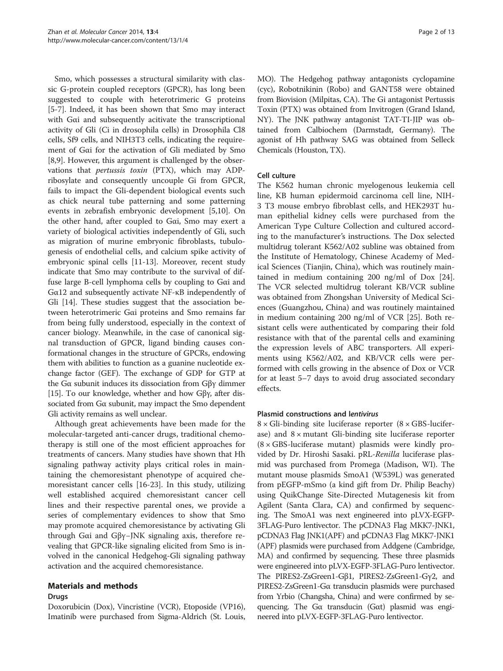Smo, which possesses a structural similarity with classic G-protein coupled receptors (GPCR), has long been suggested to couple with heterotrimeric G proteins [[5-7](#page-11-0)]. Indeed, it has been shown that Smo may interact with Gαi and subsequently acitivate the transcriptional activity of Gli (Ci in drosophila cells) in Drosophila Cl8 cells, Sf9 cells, and NIH3T3 cells, indicating the requirement of Gαi for the activation of Gli mediated by Smo [[8,9\]](#page-11-0). However, this argument is challenged by the observations that pertussis toxin (PTX), which may ADPribosylate and consequently uncouple Gi from GPCR, fails to impact the Gli-dependent biological events such as chick neural tube patterning and some patterning events in zebrafish embryonic development [\[5,10](#page-11-0)]. On the other hand, after coupled to Gαi, Smo may exert a variety of biological activities independently of Gli, such as migration of murine embryonic fibroblasts, tubulogenesis of endothelial cells, and calcium spike activity of embryonic spinal cells [[11-13](#page-11-0)]. Moreover, recent study indicate that Smo may contribute to the survival of diffuse large B-cell lymphoma cells by coupling to Gαi and Gα12 and subsequently activate NF-κB independently of Gli [\[14](#page-11-0)]. These studies suggest that the association between heterotrimeric Gαi proteins and Smo remains far from being fully understood, especially in the context of cancer biology. Meanwhile, in the case of canonical signal transduction of GPCR, ligand binding causes conformational changes in the structure of GPCRs, endowing them with abilities to function as a guanine nucleotide exchange factor (GEF). The exchange of GDP for GTP at the Gα subunit induces its dissociation from Gβγ dimmer [[15](#page-11-0)]. To our knowledge, whether and how Gβγ, after dissociated from Gα subunit, may impact the Smo dependent Gli activity remains as well unclear.

Although great achievements have been made for the molecular-targeted anti-cancer drugs, traditional chemotherapy is still one of the most efficient approaches for treatments of cancers. Many studies have shown that Hh signaling pathway activity plays critical roles in maintaining the chemoresistant phenotype of acquired chemoresistant cancer cells [[16](#page-11-0)-[23\]](#page-11-0). In this study, utilizing well established acquired chemoresistant cancer cell lines and their respective parental ones, we provide a series of complementary evidences to show that Smo may promote acquired chemoresistance by activating Gli through Gαi and Gβγ−JNK signaling axis, therefore revealing that GPCR-like signaling elicited from Smo is involved in the canonical Hedgehog-Gli signaling pathway activation and the acquired chemoresistance.

## Materials and methods

#### Drugs

Doxorubicin (Dox), Vincristine (VCR), Etoposide (VP16), Imatinib were purchased from Sigma-Aldrich (St. Louis,

MO). The Hedgehog pathway antagonists cyclopamine (cyc), Robotnikinin (Robo) and GANT58 were obtained from Biovision (Milpitas, CA). The Gi antagonist Pertussis Toxin (PTX) was obtained from Invitrogen (Grand Island, NY). The JNK pathway antagonist TAT-TI-JIP was obtained from Calbiochem (Darmstadt, Germany). The agonist of Hh pathway SAG was obtained from Selleck Chemicals (Houston, TX).

### Cell culture

The K562 human chronic myelogenous leukemia cell line, KB human epidermoid carcinoma cell line, NIH-3 T3 mouse embryo fibroblast cells, and HEK293T human epithelial kidney cells were purchased from the American Type Culture Collection and cultured according to the manufacturer's instructions. The Dox selected multidrug tolerant K562/A02 subline was obtained from the Institute of Hematology, Chinese Academy of Medical Sciences (Tianjin, China), which was routinely maintained in medium containing 200 ng/ml of Dox [\[24](#page-11-0)]. The VCR selected multidrug tolerant KB/VCR subline was obtained from Zhongshan University of Medical Sciences (Guangzhou, China) and was routinely maintained in medium containing 200 ng/ml of VCR [\[25\]](#page-11-0). Both resistant cells were authenticated by comparing their fold resistance with that of the parental cells and examining the expression levels of ABC transporters. All experiments using K562/A02, and KB/VCR cells were performed with cells growing in the absence of Dox or VCR for at least 5–7 days to avoid drug associated secondary effects.

#### Plasmid constructions and lentivirus

 $8 \times$  Gli-binding site luciferase reporter  $(8 \times$  GBS-luciferase) and  $8 \times$  mutant Gli-binding site luciferase reporter  $(8 \times$  GBS-luciferase mutant) plasmids were kindly provided by Dr. Hiroshi Sasaki. pRL-Renilla luciferase plasmid was purchased from Promega (Madison, WI). The mutant mouse plasmids SmoA1 (W539L) was generated from pEGFP-mSmo (a kind gift from Dr. Philip Beachy) using QuikChange Site-Directed Mutagenesis kit from Agilent (Santa Clara, CA) and confirmed by sequencing. The SmoA1 was next engineered into pLVX-EGFP-3FLAG-Puro lentivector. The pCDNA3 Flag MKK7-JNK1, pCDNA3 Flag JNK1(APF) and pCDNA3 Flag MKK7-JNK1 (APF) plasmids were purchased from Addgene (Cambridge, MA) and confirmed by sequencing. These three plasmids were engineered into pLVX-EGFP-3FLAG-Puro lentivector. The PIRES2-ZsGreen1-Gβ1, PIRES2-ZsGreen1-Gγ2, and PIRES2-ZsGreen1-Gα transducin plasmids were purchased from Yrbio (Changsha, China) and were confirmed by sequencing. The Gα transducin (Gαt) plasmid was engineered into pLVX-EGFP-3FLAG-Puro lentivector.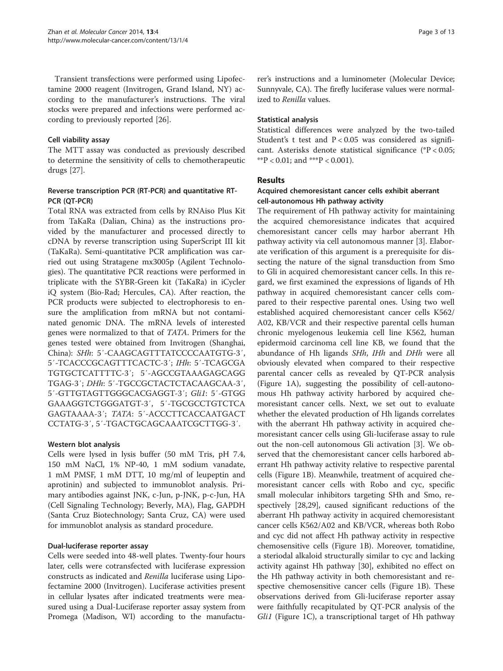Transient transfections were performed using Lipofectamine 2000 reagent (Invitrogen, Grand Island, NY) according to the manufacturer's instructions. The viral stocks were prepared and infections were performed according to previously reported [\[26](#page-11-0)].

#### Cell viability assay

The MTT assay was conducted as previously described to determine the sensitivity of cells to chemotherapeutic drugs [\[27](#page-12-0)].

## Reverse transcription PCR (RT-PCR) and quantitative RT-PCR (QT-PCR)

Total RNA was extracted from cells by RNAiso Plus Kit from TaKaRa (Dalian, China) as the instructions provided by the manufacturer and processed directly to cDNA by reverse transcription using SuperScript III kit (TaKaRa). Semi-quantitative PCR amplification was carried out using Stratagene mx3005p (Agilent Technologies). The quantitative PCR reactions were performed in triplicate with the SYBR-Green kit (TaKaRa) in iCycler iQ system (Bio-Rad; Hercules, CA). After reaction, the PCR products were subjected to electrophoresis to ensure the amplification from mRNA but not contaminated genomic DNA. The mRNA levels of interested genes were normalized to that of TATA. Primers for the genes tested were obtained from Invitrogen (Shanghai, China): SHh: 5′-CAAGCAGTTTATCCCCAATGTG-3′, 5′-TCACCCGCAGTTTCACTC-3′; IHh: 5′-TCAGCGA TGTGCTCATTTTC-3′; 5′-AGCCGTAAAGAGCAGG TGAG-3′; DHh: 5′-TGCCGCTACTCTACAAGCAA-3′, 5′-GTTGTAGTTGGGCACGAGGT-3′; Gli1: 5′-GTGG GAAAGGTCTGGGATGT-3′, 5′-TGCGCCTGTCTCA GAGTAAAA-3′; TATA: 5′-ACCCTTCACCAATGACT CCTATG-3′, 5′-TGACTGCAGCAAATCGCTTGG-3′.

#### Western blot analysis

Cells were lysed in lysis buffer (50 mM Tris, pH 7.4, 150 mM NaCl, 1% NP-40, 1 mM sodium vanadate, 1 mM PMSF, 1 mM DTT, 10 mg/ml of leupeptin and aprotinin) and subjected to immunoblot analysis. Primary antibodies against JNK, c-Jun, p-JNK, p-c-Jun, HA (Cell Signaling Technology; Beverly, MA), Flag, GAPDH (Santa Cruz Biotechnology; Santa Cruz, CA) were used for immunoblot analysis as standard procedure.

## Dual-luciferase reporter assay

Cells were seeded into 48-well plates. Twenty-four hours later, cells were cotransfected with luciferase expression constructs as indicated and Renilla luciferase using Lipofectamine 2000 (Invitrogen). Luciferase activities present in cellular lysates after indicated treatments were measured using a Dual-Luciferase reporter assay system from Promega (Madison, WI) according to the manufactu-

rer's instructions and a luminometer (Molecular Device; Sunnyvale, CA). The firefly luciferase values were normalized to Renilla values.

#### Statistical analysis

Statistical differences were analyzed by the two-tailed Student's t test and  $P < 0.05$  was considered as significant. Asterisks denote statistical significance (\*P < 0.05; \*\*P < 0.01; and \*\*\*P < 0.001).

### Results

### Acquired chemoresistant cancer cells exhibit aberrant cell-autonomous Hh pathway activity

The requirement of Hh pathway activity for maintaining the acquired chemoresistance indicates that acquired chemoresistant cancer cells may harbor aberrant Hh pathway activity via cell autonomous manner [[3\]](#page-11-0). Elaborate verification of this argument is a prerequisite for dissecting the nature of the signal transduction from Smo to Gli in acquired chemoresistant cancer cells. In this regard, we first examined the expressions of ligands of Hh pathway in acquired chemoresistant cancer cells compared to their respective parental ones. Using two well established acquired chemoresistant cancer cells K562/ A02, KB/VCR and their respective parental cells human chronic myelogenous leukemia cell line K562, human epidermoid carcinoma cell line KB, we found that the abundance of Hh ligands SHh, IHh and DHh were all obviously elevated when compared to their respective parental cancer cells as revealed by QT-PCR analysis (Figure [1](#page-3-0)A), suggesting the possibility of cell-autonomous Hh pathway activity harbored by acquired chemoresistant cancer cells. Next, we set out to evaluate whether the elevated production of Hh ligands correlates with the aberrant Hh pathway activity in acquired chemoresistant cancer cells using Gli-luciferase assay to rule out the non-cell autonomous Gli activation [[3\]](#page-11-0). We observed that the chemoresistant cancer cells harbored aberrant Hh pathway activity relative to respective parental cells (Figure [1B](#page-3-0)). Meanwhile, treatment of acquired chemoresistant cancer cells with Robo and cyc, specific small molecular inhibitors targeting SHh and Smo, respectively [[28,29](#page-12-0)], caused significant reductions of the aberrant Hh pathway activity in acquired chemoresistant cancer cells K562/A02 and KB/VCR, whereas both Robo and cyc did not affect Hh pathway activity in respective chemosensitive cells (Figure [1](#page-3-0)B). Moreover, tomatidine, a steriodal alkaloid structurally similar to cyc and lacking activity against Hh pathway [\[30](#page-12-0)], exhibited no effect on the Hh pathway activity in both chemoresistant and respective chemosensitive cancer cells (Figure [1B](#page-3-0)). These observations derived from Gli-luciferase reporter assay were faithfully recapitulated by QT-PCR analysis of the Gli1 (Figure [1](#page-3-0)C), a transcriptional target of Hh pathway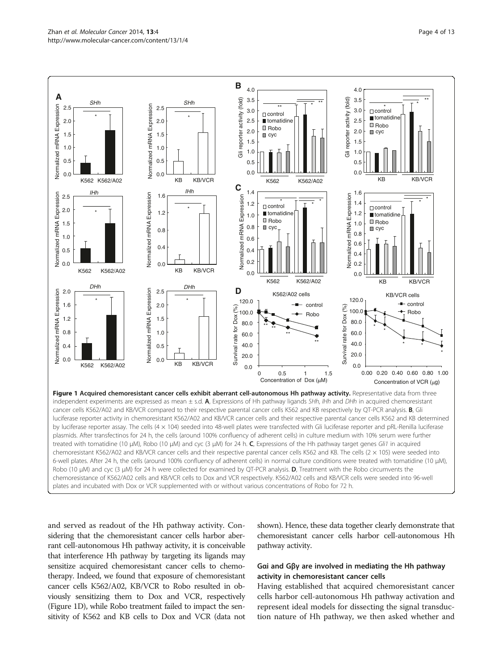<span id="page-3-0"></span>

and served as readout of the Hh pathway activity. Considering that the chemoresistant cancer cells harbor aberrant cell-autonomous Hh pathway activity, it is conceivable that interference Hh pathway by targeting its ligands may sensitize acquired chemoresistant cancer cells to chemotherapy. Indeed, we found that exposure of chemoresistant cancer cells K562/A02, KB/VCR to Robo resulted in obviously sensitizing them to Dox and VCR, respectively (Figure 1D), while Robo treatment failed to impact the sensitivity of K562 and KB cells to Dox and VCR (data not shown). Hence, these data together clearly demonstrate that chemoresistant cancer cells harbor cell-autonomous Hh pathway activity.

## Gαi and Gβγ are involved in mediating the Hh pathway activity in chemoresistant cancer cells

Having established that acquired chemoresistant cancer cells harbor cell-autonomous Hh pathway activation and represent ideal models for dissecting the signal transduction nature of Hh pathway, we then asked whether and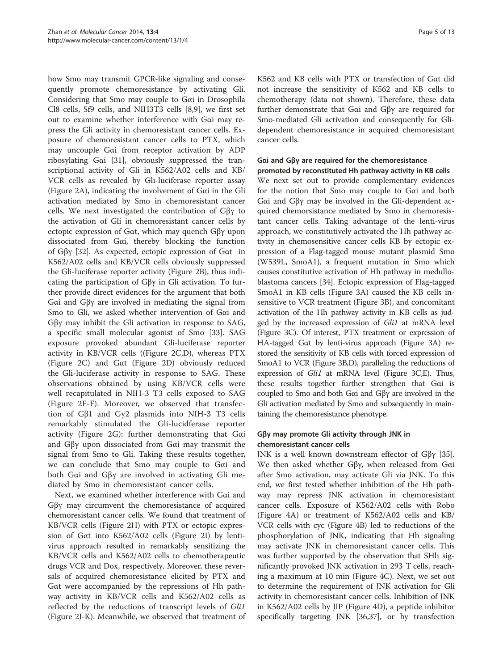how Smo may transmit GPCR-like signaling and consequently promote chemoresistance by activating Gli. Considering that Smo may couple to Gαi in Drosophila Cl8 cells, Sf9 cells, and NIH3T3 cells [\[8,9](#page-11-0)], we first set out to examine whether interference with Gαi may repress the Gli activity in chemoresistant cancer cells. Exposure of chemoresistant cancer cells to PTX, which may uncouple Gαi from receptor activation by ADP ribosylating Gαi [[31\]](#page-12-0), obviously suppressed the transcriptional activity of Gli in K562/A02 cells and KB/ VCR cells as revealed by Gli-luciferase reporter assay (Figure [2A](#page-5-0)), indicating the involvement of Gαi in the Gli activation mediated by Smo in chemoresistant cancer cells. We next investigated the contribution of Gβγ to the activation of Gli in chemoresistant cancer cells by ectopic expression of Gαt, which may quench Gβγ upon dissociated from Gαi, thereby blocking the function of Gβγ [\[32](#page-12-0)]. As expected, ectopic expression of Gαt in K562/A02 cells and KB/VCR cells obviously suppressed the Gli-luciferase reporter activity (Figure [2](#page-5-0)B), thus indicating the participation of Gβγ in Gli activation. To further provide direct evidences for the argument that both Gαi and Gβγ are involved in mediating the signal from Smo to Gli, we asked whether intervention of Gαi and Gβγ may inhibit the Gli activation in response to SAG, a specific small molecular agonist of Smo [[33\]](#page-12-0). SAG exposure provoked abundant Gli-luciferase reporter activity in KB/VCR cells ((Figure [2C](#page-5-0),D), whereas PTX (Figure [2C](#page-5-0)) and Gαt (Figure [2D](#page-5-0)) obviously reduced the Gli-luciferase activity in response to SAG. These observations obtained by using KB/VCR cells were well recapitulated in NIH-3 T3 cells exposed to SAG (Figure [2](#page-5-0)E-F). Moreover, we observed that transfection of Gβ1 and Gγ2 plasmids into NIH-3 T3 cells remarkably stimulated the Gli-lucidferase reporter activity (Figure [2G](#page-5-0)); further demonstrating that Gαi and Gβγ upon dissociated from Gαi may transmit the signal from Smo to Gli. Taking these results together, we can conclude that Smo may couple to Gαi and both Gαi and Gβγ are involved in activating Gli mediated by Smo in chemoresistant cancer cells.

Next, we examined whether interference with Gαi and Gβγ may circumvent the chemoresistance of acquired chemoresistant cancer cells. We found that treatment of KB/VCR cells (Figure [2](#page-5-0)H) with PTX or ectopic expression of Gαt into K562/A02 cells (Figure [2I](#page-5-0)) by lentivirus approach resulted in remarkably sensitizing the KB/VCR cells and K562/A02 cells to chemotherapeutic drugs VCR and Dox, respectively. Moreover, these reversals of acquired chemoresistance elicited by PTX and Gαt were accompanied by the repressions of Hh pathway activity in KB/VCR cells and K562/A02 cells as reflected by the reductions of transcript levels of Gli1 (Figure [2J](#page-5-0)-K). Meanwhile, we observed that treatment of K562 and KB cells with PTX or transfection of Gαt did not increase the sensitivity of K562 and KB cells to chemotherapy (data not shown). Therefore, these data further demonstrate that Gαi and Gβγ are required for Smo-mediated Gli activation and consequently for Glidependent chemoresistance in acquired chemoresistant cancer cells.

## Gαi and Gβγ are required for the chemoresistance promoted by reconstituted Hh pathway activity in KB cells

We next set out to provide complementary evidences for the notion that Smo may couple to Gαi and both Gαi and Gβγ may be involved in the Gli-dependent acquired chemorsistance mediated by Smo in chemoresistant cancer cells. Taking advantage of the lenti-virus approach, we constitutively activated the Hh pathway activity in chemosensitive cancer cells KB by ectopic expression of a Flag-tagged mouse mutant plasmid Smo (W539L, SmoA1), a frequent mutation in Smo which causes constitutive activation of Hh pathway in medulloblastoma cancers [[34\]](#page-12-0). Ectopic expression of Flag-tagged SmoA1 in KB cells (Figure [3A](#page-6-0)) caused the KB cells insensitive to VCR treatment (Figure [3](#page-6-0)B), and concomitant activation of the Hh pathway activity in KB cells as judged by the increased expression of Gli1 at mRNA level (Figure [3](#page-6-0)C). Of interest, PTX treatment or expression of HA-tagged Gαt by lenti-virus approach (Figure [3](#page-6-0)A) restored the sensitivity of KB cells with forced expression of SmoA1 to VCR (Figure [3](#page-6-0)B,D), paralleling the reductions of expression of Gli1 at mRNA level (Figure [3](#page-6-0)C,E). Thus, these results together further strengthen that Gαi is coupled to Smo and both Gαi and Gβγ are involved in the Gli activation mediated by Smo and subsequently in maintaining the chemoresistance phenotype.

## Gβγ may promote Gli activity through JNK in chemoresistant cancer cells

JNK is a well known downstream effector of Gβγ [\[35](#page-12-0)]. We then asked whether Gβγ, when released from Gαi after Smo activation, may activate Gli via JNK. To this end, we first tested whether inhibition of the Hh pathway may repress JNK activation in chemoresistant cancer cells. Exposure of K562/A02 cells with Robo (Figure [4A](#page-7-0)) or treatment of K562/A02 cells and KB/ VCR cells with cyc (Figure [4B](#page-7-0)) led to reductions of the phosphorylation of JNK, indicating that Hh signaling may activate JNK in chemoresistant cancer cells. This was further supported by the observation that SHh significantly provoked JNK activation in 293 T cells, reaching a maximum at 10 min (Figure [4C](#page-7-0)). Next, we set out to determine the requirement of JNK activation for Gli activity in chemoresistant cancer cells. Inhibition of JNK in K562/A02 cells by JIP (Figure [4](#page-7-0)D), a peptide inhibitor specifically targeting JNK [\[36,37\]](#page-12-0), or by transfection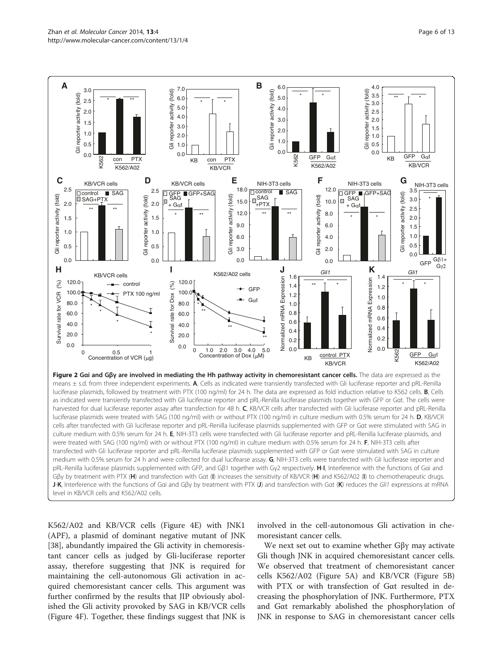<span id="page-5-0"></span>

K562/A02 and KB/VCR cells (Figure [4](#page-7-0)E) with JNK1 (APF), a plasmid of dominant negative mutant of JNK [[38\]](#page-12-0), abundantly impaired the Gli activity in chemoresistant cancer cells as judged by Gli-luciferase reporter assay, therefore suggesting that JNK is required for maintaining the cell-autonomous Gli activation in acquired chemoresistant cancer cells. This argument was further confirmed by the results that JIP obviously abolished the Gli activity provoked by SAG in KB/VCR cells (Figure [4](#page-7-0)F). Together, these findings suggest that JNK is

involved in the cell-autonomous Gli activation in chemoresistant cancer cells.

We next set out to examine whether Gβγ may activate Gli though JNK in acquired chemoresistant cancer cells. We observed that treatment of chemoresistant cancer cells K562/A02 (Figure [5A](#page-8-0)) and KB/VCR (Figure [5B](#page-8-0)) with PTX or with transfection of Gαt resulted in decreasing the phosphorylation of JNK. Furthermore, PTX and Gαt remarkably abolished the phosphorylation of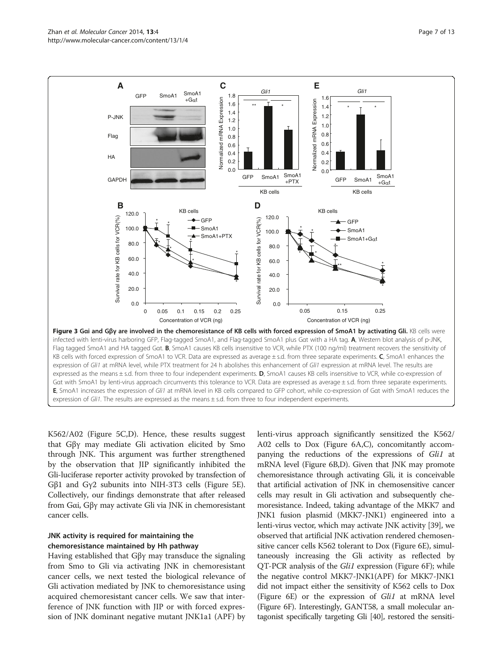<span id="page-6-0"></span>

K562/A02 (Figure [5](#page-8-0)C,D). Hence, these results suggest that Gβγ may mediate Gli activation elicited by Smo through JNK. This argument was further strengthened by the observation that JIP significantly inhibited the Gli-luciferase reporter activity provoked by transfection of Gβ1 and Gγ2 subunits into NIH-3T3 cells (Figure [5E](#page-8-0)). Collectively, our findings demonstrate that after released from Gαi, Gβγ may activate Gli via JNK in chemoresistant cancer cells.

### JNK activity is required for maintaining the chemoresistance maintained by Hh pathway

Having established that Gβγ may transduce the signaling from Smo to Gli via activating JNK in chemoresistant cancer cells, we next tested the biological relevance of Gli activation mediated by JNK to chemoresistance using acquired chemoresistant cancer cells. We saw that interference of JNK function with JIP or with forced expression of JNK dominant negative mutant JNK1a1 (APF) by

lenti-virus approach significantly sensitized the K562/ A02 cells to Dox (Figure [6](#page-9-0)A,C), concomitantly accompanying the reductions of the expressions of Gli1 at mRNA level (Figure [6](#page-9-0)B,D). Given that JNK may promote chemoresistance through activating Gli, it is conceivable that artificial activation of JNK in chemosensitive cancer cells may result in Gli activation and subsequently chemoresistance. Indeed, taking advantage of the MKK7 and JNK1 fusion plasmid (MKK7-JNK1) engineered into a lenti-virus vector, which may activate JNK activity [[39](#page-12-0)], we observed that artificial JNK activation rendered chemosensitive cancer cells K562 tolerant to Dox (Figure [6E](#page-9-0)), simultaneously increasing the Gli activity as reflected by QT-PCR analysis of the Gli1 expression (Figure [6](#page-9-0)F); while the negative control MKK7-JNK1(APF) for MKK7-JNK1 did not impact either the sensitivity of K562 cells to Dox (Figure [6](#page-9-0)E) or the expression of Gli1 at mRNA level (Figure [6F](#page-9-0)). Interestingly, GANT58, a small molecular antagonist specifically targeting Gli [\[40\]](#page-12-0), restored the sensiti-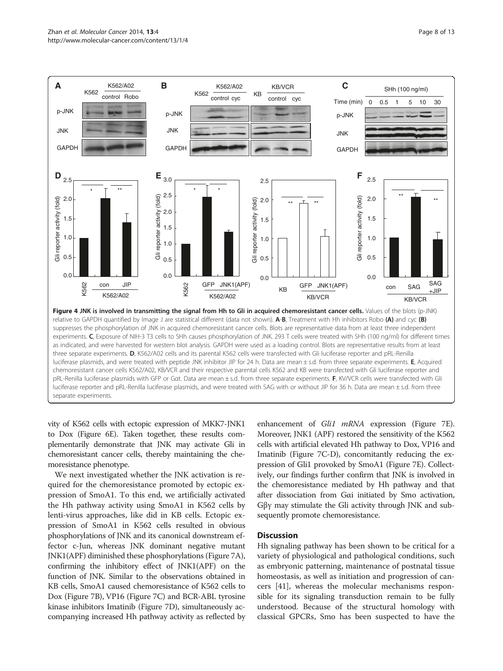<span id="page-7-0"></span>

vity of K562 cells with ectopic expression of MKK7-JNK1 to Dox (Figure [6E](#page-9-0)). Taken together, these results complementarily demonstrate that JNK may activate Gli in chemoresistant cancer cells, thereby maintaining the chemoresistance phenotype.

We next investigated whether the JNK activation is required for the chemoresistance promoted by ectopic expression of SmoA1. To this end, we artificially activated the Hh pathway activity using SmoA1 in K562 cells by lenti-virus approaches, like did in KB cells. Ectopic expression of SmoA1 in K562 cells resulted in obvious phosphorylations of JNK and its canonical downstream effector c-Jun, whereas JNK dominant negative mutant JNK1(APF) diminished these phosphorylations (Figure [7](#page-10-0)A), confirming the inhibitory effect of JNK1(APF) on the function of JNK. Similar to the observations obtained in KB cells, SmoA1 caused chemoresistance of K562 cells to Dox (Figure [7](#page-10-0)B), VP16 (Figure [7](#page-10-0)C) and BCR-ABL tyrosine kinase inhibitors Imatinib (Figure [7](#page-10-0)D), simultaneously accompanying increased Hh pathway activity as reflected by enhancement of Gli1 mRNA expression (Figure [7](#page-10-0)E). Moreover, JNK1 (APF) restored the sensitivity of the K562 cells with artificial elevated Hh pathway to Dox, VP16 and Imatinib (Figure [7C](#page-10-0)-D), concomitantly reducing the expression of Gli1 provoked by SmoA1 (Figure [7](#page-10-0)E). Collectively, our findings further confirm that JNK is involved in the chemoresistance mediated by Hh pathway and that after dissociation from Gαi initiated by Smo activation, Gβγ may stimulate the Gli activity through JNK and subsequently promote chemoresistance.

#### **Discussion**

Hh signaling pathway has been shown to be critical for a variety of physiological and pathological conditions, such as embryonic patterning, maintenance of postnatal tissue homeostasis, as well as initiation and progression of cancers [\[41](#page-12-0)], whereas the molecular mechanisms responsible for its signaling transduction remain to be fully understood. Because of the structural homology with classical GPCRs, Smo has been suspected to have the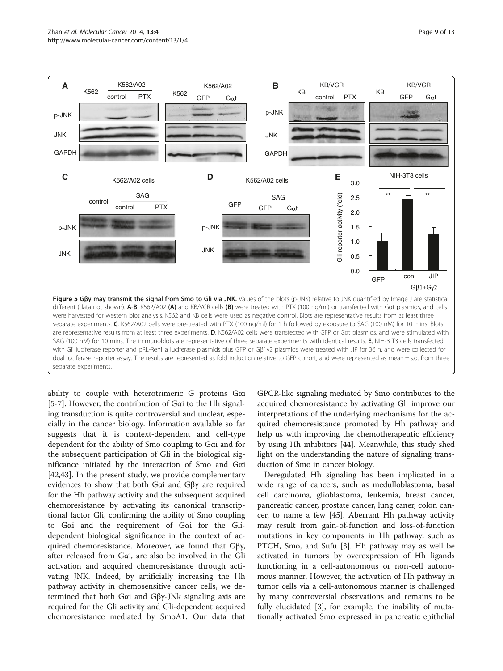<span id="page-8-0"></span>

ability to couple with heterotrimeric G proteins Gαi [[5-7](#page-11-0)]. However, the contribution of Gαi to the Hh signaling transduction is quite controversial and unclear, especially in the cancer biology. Information available so far suggests that it is context-dependent and cell-type dependent for the ability of Smo coupling to Gαi and for the subsequent participation of Gli in the biological significance initiated by the interaction of Smo and Gαi [[42,43\]](#page-12-0). In the present study, we provide complementary evidences to show that both Gαi and Gβγ are required for the Hh pathway activity and the subsequent acquired chemoresistance by activating its canonical transcriptional factor Gli, confirming the ability of Smo coupling to Gαi and the requirement of Gαi for the Glidependent biological significance in the context of acquired chemoresistance. Moreover, we found that Gβγ, after released from Gαi, are also be involved in the Gli activation and acquired chemoresistance through activating JNK. Indeed, by artificially increasing the Hh pathway activity in chemosensitive cancer cells, we determined that both Gαi and Gβγ-JNk signaling axis are required for the Gli activity and Gli-dependent acquired chemoresistance mediated by SmoA1. Our data that

GPCR-like signaling mediated by Smo contributes to the acquired chemoresistance by activating Gli improve our interpretations of the underlying mechanisms for the acquired chemoresistance promoted by Hh pathway and help us with improving the chemotherapeutic efficiency by using Hh inhibitors [\[44\]](#page-12-0). Meanwhile, this study shed light on the understanding the nature of signaling transduction of Smo in cancer biology.

Deregulated Hh signaling has been implicated in a wide range of cancers, such as medulloblastoma, basal cell carcinoma, glioblastoma, leukemia, breast cancer, pancreatic cancer, prostate cancer, lung caner, colon cancer, to name a few [\[45\]](#page-12-0). Aberrant Hh pathway activity may result from gain-of-function and loss-of-function mutations in key components in Hh pathway, such as PTCH, Smo, and Sufu [\[3](#page-11-0)]. Hh pathway may as well be activated in tumors by overexpression of Hh ligands functioning in a cell-autonomous or non-cell autonomous manner. However, the activation of Hh pathway in tumor cells via a cell-autonomous manner is challenged by many controversial observations and remains to be fully elucidated [[3\]](#page-11-0), for example, the inability of mutationally activated Smo expressed in pancreatic epithelial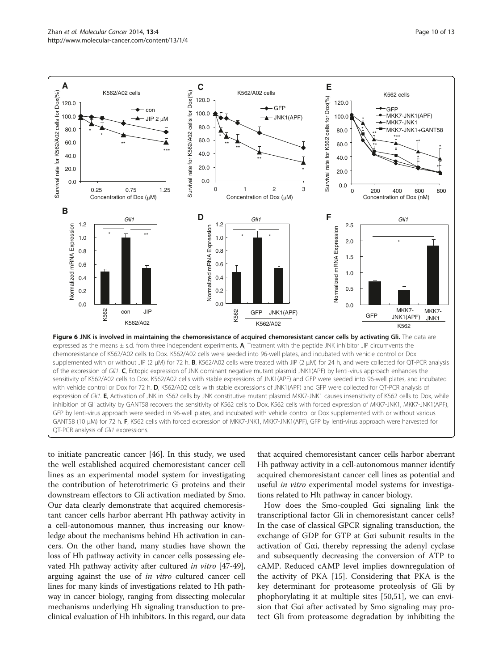<span id="page-9-0"></span>

QT-PCR analysis of Gli1 expressions.

to initiate pancreatic cancer [[46](#page-12-0)]. In this study, we used the well established acquired chemoresistant cancer cell lines as an experimental model system for investigating the contribution of heterotrimeric G proteins and their downstream effectors to Gli activation mediated by Smo. Our data clearly demonstrate that acquired chemoresistant cancer cells harbor aberrant Hh pathway activity in a cell-autonomous manner, thus increasing our knowledge about the mechanisms behind Hh activation in cancers. On the other hand, many studies have shown the loss of Hh pathway activity in cancer cells possessing elevated Hh pathway activity after cultured in vitro [[47](#page-12-0)-[49](#page-12-0)], arguing against the use of in vitro cultured cancer cell lines for many kinds of investigations related to Hh pathway in cancer biology, ranging from dissecting molecular mechanisms underlying Hh signaling transduction to preclinical evaluation of Hh inhibitors. In this regard, our data that acquired chemoresistant cancer cells harbor aberrant Hh pathway activity in a cell-autonomous manner identify acquired chemoresistant cancer cell lines as potential and useful in vitro experimental model systems for investigations related to Hh pathway in cancer biology.

How does the Smo-coupled Gαi signaling link the transcriptional factor Gli in chemoresistant cancer cells? In the case of classical GPCR signaling transduction, the exchange of GDP for GTP at Gαi subunit results in the activation of Gαi, thereby repressing the adenyl cyclase and subsequently decreasing the conversion of ATP to cAMP. Reduced cAMP level implies downregulation of the activity of PKA [[15\]](#page-11-0). Considering that PKA is the key determinant for proteasome proteolysis of Gli by phophorylating it at multiple sites [\[50,51\]](#page-12-0), we can envision that Gαi after activated by Smo signaling may protect Gli from proteasome degradation by inhibiting the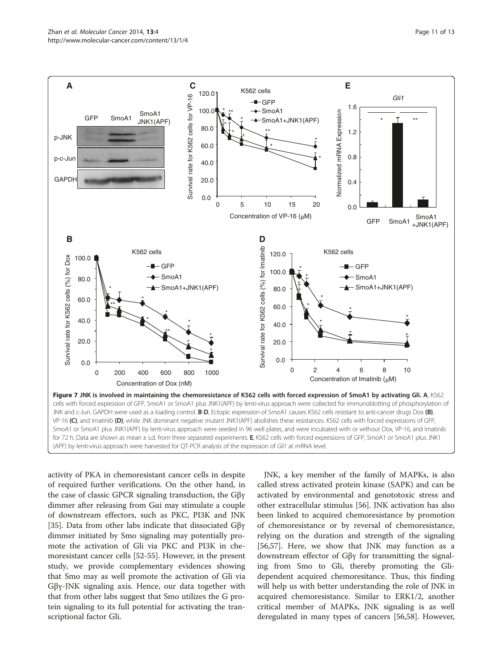<span id="page-10-0"></span>

activity of PKA in chemoresistant cancer cells in despite of required further verifications. On the other hand, in the case of classic GPCR signaling transduction, the Gβγ dimmer after releasing from Gαi may stimulate a couple of downstream effectors, such as PKC, PI3K and JNK [[35\]](#page-12-0). Data from other labs indicate that dissociated Gβγ dimmer initiated by Smo signaling may potentially promote the activation of Gli via PKC and PI3K in chemoresistant cancer cells [[52-55](#page-12-0)]. However, in the present study, we provide complementary evidences showing that Smo may as well promote the activation of Gli via Gβγ-JNK signaling axis. Hence, our data together with that from other labs suggest that Smo utilizes the G protein signaling to its full potential for activating the transcriptional factor Gli.

JNK, a key member of the family of MAPKs, is also called stress activated protein kinase (SAPK) and can be activated by environmental and genototoxic stress and other extracellular stimulus [\[56](#page-12-0)]. JNK activation has also been linked to acquired chemoresistance by promotion of chemoresistance or by reversal of chemoresistance, relying on the duration and strength of the signaling [[56,57\]](#page-12-0). Here, we show that JNK may function as a downstream effector of Gβγ for transmitting the signaling from Smo to Gli, thereby promoting the Glidependent acquired chemoresitance. Thus, this finding will help us with better understanding the role of JNK in acquired chemoresistance. Similar to ERK1/2, another critical member of MAPKs, JNK signaling is as well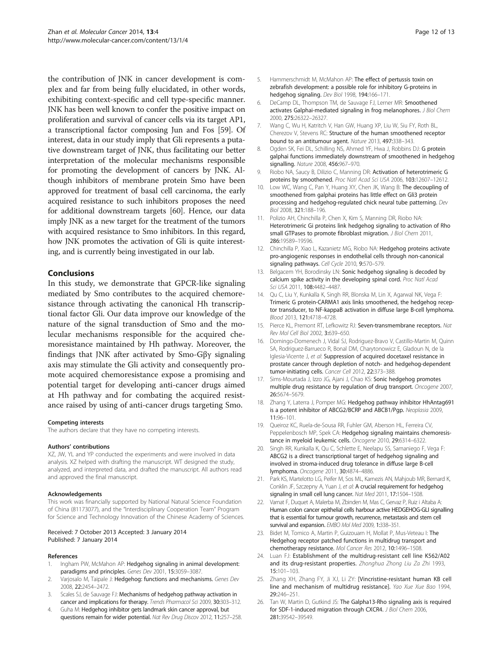<span id="page-11-0"></span>the contribution of JNK in cancer development is complex and far from being fully elucidated, in other words, exhibiting context-specific and cell type-specific manner. JNK has been well known to confer the positive impact on proliferation and survival of cancer cells via its target AP1, a transcriptional factor composing Jun and Fos [\[59\]](#page-12-0). Of interest, data in our study imply that Gli represents a putative downstream target of JNK, thus facilitating our better interpretation of the molecular mechanisms responsible for promoting the development of cancers by JNK. Although inhibitors of membrane protein Smo have been approved for treatment of basal cell carcinoma, the early acquired resistance to such inhibitors proposes the need for additional downstream targets [\[60\]](#page-12-0). Hence, our data imply JNK as a new target for the treatment of the tumors with acquired resistance to Smo inhibitors. In this regard, how JNK promotes the activation of Gli is quite interesting, and is currently being investigated in our lab.

#### Conclusions

In this study, we demonstrate that GPCR-like signaling mediated by Smo contributes to the acquired chemoresistance through activating the canonical Hh transcriptional factor Gli. Our data improve our knowledge of the nature of the signal transduction of Smo and the molecular mechanisms responsible for the acquired chemoresistance maintained by Hh pathway. Moreover, the findings that JNK after activated by Smo-Gβγ signaling axis may stimulate the Gli activity and consequently promote acquired chemoresistance expose a promising and potential target for developing anti-cancer drugs aimed at Hh pathway and for combating the acquired resistance raised by using of anti-cancer drugs targeting Smo.

#### Competing interests

The authors declare that they have no competing interests.

#### Authors' contributions

XZ, JW, YL and YP conducted the experiments and were involved in data analysis. XZ helped with drafting the manuscript. WT designed the study, analyzed, and interpreted data, and drafted the manuscript. All authors read and approved the final manuscript.

#### Acknowledgements

This work was financially supported by National Natural Science Foundation of China (81173077), and the "Interdisciplinary Cooperation Team" Program for Science and Technology Innovation of the Chinese Academy of Sciences.

#### Received: 7 October 2013 Accepted: 3 January 2014 Published: 7 January 2014

#### References

- 1. Ingham PW, McMahon AP: Hedgehog signaling in animal development: paradigms and principles. Genes Dev 2001, 15:3059-3087
- Varjosalo M, Taipale J: Hedgehog: functions and mechanisms. Genes Dev 2008, 22:2454–2472.
- Scales SJ, de Sauvage FJ: Mechanisms of hedgehog pathway activation in cancer and implications for therapy. Trends Pharmacol Sci 2009, 30:303-312.
- 4. Guha M: Hedgehog inhibitor gets landmark skin cancer approval, but questions remain for wider potential. Nat Rev Drug Discov 2012, 11:257–258.
- 5. Hammerschmidt M, McMahon AP: The effect of pertussis toxin on zebrafish development: a possible role for inhibitory G-proteins in hedgehog signaling. Dev Biol 1998, 194:166–171.
- 6. DeCamp DL, Thompson TM, de Sauvage FJ, Lerner MR: Smoothened activates Galphai-mediated signaling in frog melanophores. J Biol Chem 2000, 275:26322–26327.
- 7. Wang C, Wu H, Katritch V, Han GW, Huang XP, Liu W, Siu FY, Roth BL, Cherezov V, Stevens RC: Structure of the human smoothened receptor bound to an antitumour agent. Nature 2013, 497:338–343.
- 8. Ogden SK, Fei DL, Schilling NS, Ahmed YF, Hwa J, Robbins DJ: G protein galphai functions immediately downstream of smoothened in hedgehog signalling. Nature 2008, 456:967–970.
- 9. Riobo NA, Saucy B, Dilizio C, Manning DR: Activation of heterotrimeric G proteins by smoothened. Proc Natl Acad Sci USA 2006, 103:12607-12612.
- 10. Low WC, Wang C, Pan Y, Huang XY, Chen JK, Wang B: The decoupling of smoothened from galphai proteins has little effect on Gli3 protein processing and hedgehog-regulated chick neural tube patterning. Dev Biol 2008, 321:188–196.
- 11. Polizio AH, Chinchilla P, Chen X, Kim S, Manning DR, Riobo NA: Heterotrimeric Gi proteins link hedgehog signaling to activation of Rho small GTPases to promote fibroblast migration. J Biol Chem 2011, 286:19589–19596.
- 12. Chinchilla P, Xiao L, Kazanietz MG, Riobo NA: Hedgehog proteins activate pro-angiogenic responses in endothelial cells through non-canonical signaling pathways. Cell Cycle 2010, 9:570-579.
- 13. Belgacem YH, Borodinsky LN: Sonic hedgehog signaling is decoded by calcium spike activity in the developing spinal cord. Proc Natl Acad Sci USA 2011, 108:4482-4487.
- 14. Qu C, Liu Y, Kunkalla K, Singh RR, Blonska M, Lin X, Agarwal NK, Vega F: Trimeric G protein-CARMA1 axis links smoothened, the hedgehog receptor transducer, to NF-kappaB activation in diffuse large B-cell lymphoma. Blood 2013, 121:4718–4728.
- 15. Pierce KL, Premont RT, Lefkowitz RJ: Seven-transmembrane receptors. Nat Rev Mol Cell Biol 2002, 3:639–650.
- 16. Domingo-Domenech J, Vidal SJ, Rodriguez-Bravo V, Castillo-Martin M, Quinn SA, Rodriguez-Barrueco R, Bonal DM, Charytonowicz E, Gladoun N, de la Iglesia-Vicente J, et al: Suppression of acquired docetaxel resistance in prostate cancer through depletion of notch- and hedgehog-dependent tumor-initiating cells. Cancer Cell 2012, 22:373–388.
- 17. Sims-Mourtada J, Izzo JG, Ajani J, Chao KS: Sonic hedgehog promotes multiple drug resistance by regulation of drug transport. Oncogene 2007, 26:5674–5679.
- 18. Zhang Y, Laterra J, Pomper MG: Hedgehog pathway inhibitor HhAntag691 is a potent inhibitor of ABCG2/BCRP and ABCB1/Pgp. Neoplasia 2009, 11:96–101.
- 19. Queiroz KC, Ruela-de-Sousa RR, Fuhler GM, Aberson HL, Ferreira CV, Peppelenbosch MP, Spek CA: Hedgehog signaling maintains chemoresistance in myeloid leukemic cells. Oncogene 2010, 29:6314–6322.
- 20. Singh RR, Kunkalla K, Qu C, Schlette E, Neelapu SS, Samaniego F, Vega F: ABCG2 is a direct transcriptional target of hedgehog signaling and involved in stroma-induced drug tolerance in diffuse large B-cell lymphoma. Oncogene 2011, 30:4874–4886.
- 21. Park KS, Martelotto LG, Peifer M, Sos ML, Karnezis AN, Mahjoub MR, Bernard K, Conklin JF, Szczepny A, Yuan J, et al: A crucial requirement for hedgehog signaling in small cell lung cancer. Nat Med 2011, 17:1504–1508.
- 22. Varnat F, Duquet A, Malerba M, Zbinden M, Mas C, Gervaz P, Ruiz i Altaba A: Human colon cancer epithelial cells harbour active HEDGEHOG-GLI signalling that is essential for tumour growth, recurrence, metastasis and stem cell survival and expansion. EMBO Mol Med 2009, 1:338–351.
- 23. Bidet M, Tomico A, Martin P, Guizouarn H, Mollat P, Mus-Veteau I: The Hedgehog receptor patched functions in multidrug transport and chemotherapy resistance. Mol Cancer Res 2012, 10:1496–1508.
- 24. Luan FJ: Establishment of the multidrug-resistant cell line K562/A02 and its drug-resistant properties. Zhonghua Zhong Liu Za Zhi 1993, 15:101–103.
- 25. Zhang XH, Zhang FY, Ji XJ, Li ZY: [Vincristine-resistant human KB cell line and mechanism of multidrug resistance]. Yao Xue Xue Bao 1994, 29:246–251.
- 26. Tan W, Martin D, Gutkind JS: The Galpha13-Rho signaling axis is required for SDF-1-induced migration through CXCR4. J Biol Chem 2006, 281:39542–39549.